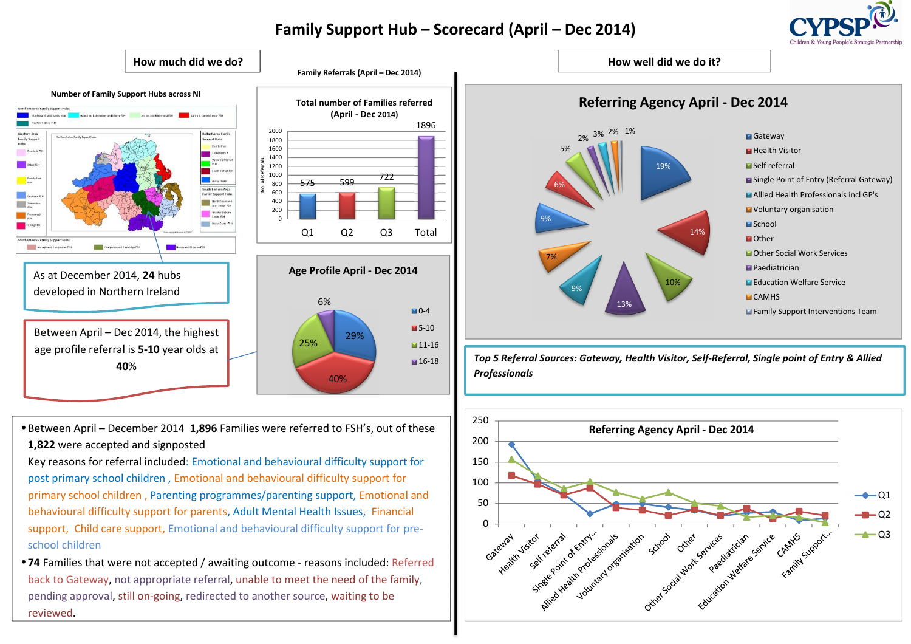# **Family Support Hub – Scorecard (April – Dec 2014)**

1896

 $\blacksquare$ 0-4 **5-10 11-16** ■16-18

29%





• Between April – December 2014 **1,896** Families were referred to FSH's, out of these **1,822** were accepted and signposted

Key reasons for referral included: Emotional and behavioural difficulty support for post primary school children , Emotional and behavioural difficulty support for primary school children , Parenting programmes/parenting support, Emotional and behavioural difficulty support for parents, Adult Mental Health Issues, Financial support, Child care support, Emotional and behavioural difficulty support for preschool children

• **<sup>74</sup>** Families that were not accepted / awaiting outcome - reasons included: Referred back to Gateway, not appropriate referral, unable to meet the need of the family, pending approval, still on-going, redirected to another source, waiting to be reviewed.



**40%** *Top 5 Referral Sources: Gateway, Health Visitor, Self-Referral, Single point of Entry & Allied Professionals <b>Professionals and <i>Professionals* and *Professionals* and *Professionals* and *Professionals* and *Profes*